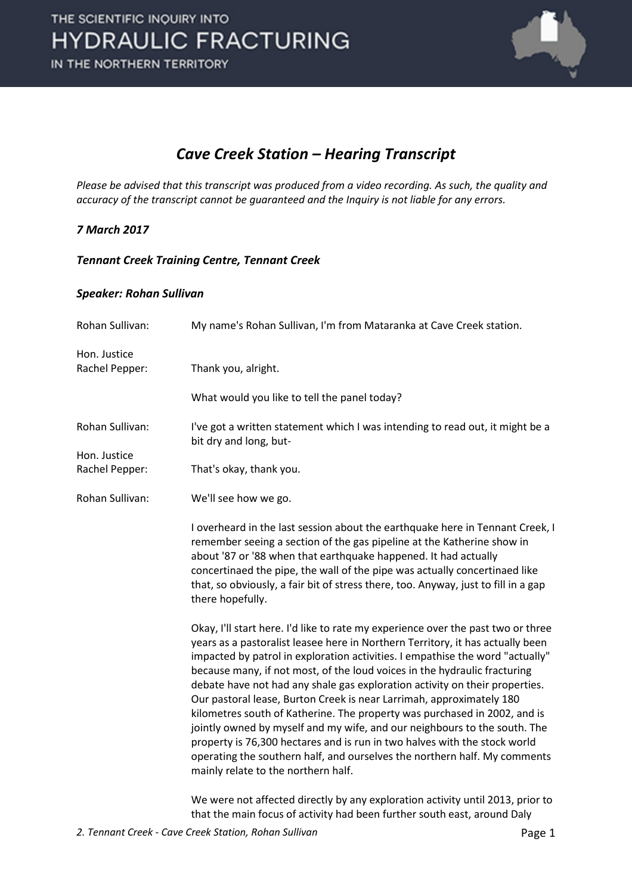

### *Cave Creek Station – Hearing Transcript*

*Please be advised that this transcript was produced from a video recording. As such, the quality and accuracy of the transcript cannot be guaranteed and the Inquiry is not liable for any errors.*

### *7 March 2017*

#### *Tennant Creek Training Centre, Tennant Creek*

#### *Speaker: Rohan Sullivan*

| Rohan Sullivan: | My name's Rohan Sullivan, I'm from Mataranka at Cave Creek station.                                                                                                                                                                                                                                                                                                                                                                                                                                                                                                                                                                                                                                                                                                                                                                                |
|-----------------|----------------------------------------------------------------------------------------------------------------------------------------------------------------------------------------------------------------------------------------------------------------------------------------------------------------------------------------------------------------------------------------------------------------------------------------------------------------------------------------------------------------------------------------------------------------------------------------------------------------------------------------------------------------------------------------------------------------------------------------------------------------------------------------------------------------------------------------------------|
| Hon. Justice    |                                                                                                                                                                                                                                                                                                                                                                                                                                                                                                                                                                                                                                                                                                                                                                                                                                                    |
| Rachel Pepper:  | Thank you, alright.                                                                                                                                                                                                                                                                                                                                                                                                                                                                                                                                                                                                                                                                                                                                                                                                                                |
|                 | What would you like to tell the panel today?                                                                                                                                                                                                                                                                                                                                                                                                                                                                                                                                                                                                                                                                                                                                                                                                       |
| Rohan Sullivan: | I've got a written statement which I was intending to read out, it might be a<br>bit dry and long, but-                                                                                                                                                                                                                                                                                                                                                                                                                                                                                                                                                                                                                                                                                                                                            |
| Hon. Justice    |                                                                                                                                                                                                                                                                                                                                                                                                                                                                                                                                                                                                                                                                                                                                                                                                                                                    |
| Rachel Pepper:  | That's okay, thank you.                                                                                                                                                                                                                                                                                                                                                                                                                                                                                                                                                                                                                                                                                                                                                                                                                            |
| Rohan Sullivan: | We'll see how we go.                                                                                                                                                                                                                                                                                                                                                                                                                                                                                                                                                                                                                                                                                                                                                                                                                               |
|                 | I overheard in the last session about the earthquake here in Tennant Creek, I<br>remember seeing a section of the gas pipeline at the Katherine show in<br>about '87 or '88 when that earthquake happened. It had actually<br>concertinaed the pipe, the wall of the pipe was actually concertinaed like<br>that, so obviously, a fair bit of stress there, too. Anyway, just to fill in a gap<br>there hopefully.                                                                                                                                                                                                                                                                                                                                                                                                                                 |
|                 | Okay, I'll start here. I'd like to rate my experience over the past two or three<br>years as a pastoralist leasee here in Northern Territory, it has actually been<br>impacted by patrol in exploration activities. I empathise the word "actually"<br>because many, if not most, of the loud voices in the hydraulic fracturing<br>debate have not had any shale gas exploration activity on their properties.<br>Our pastoral lease, Burton Creek is near Larrimah, approximately 180<br>kilometres south of Katherine. The property was purchased in 2002, and is<br>jointly owned by myself and my wife, and our neighbours to the south. The<br>property is 76,300 hectares and is run in two halves with the stock world<br>operating the southern half, and ourselves the northern half. My comments<br>mainly relate to the northern half. |
|                 | We were not affected directly by any exploration activity until 2013, prior to<br>that the main focus of activity had been further south east, around Daly                                                                                                                                                                                                                                                                                                                                                                                                                                                                                                                                                                                                                                                                                         |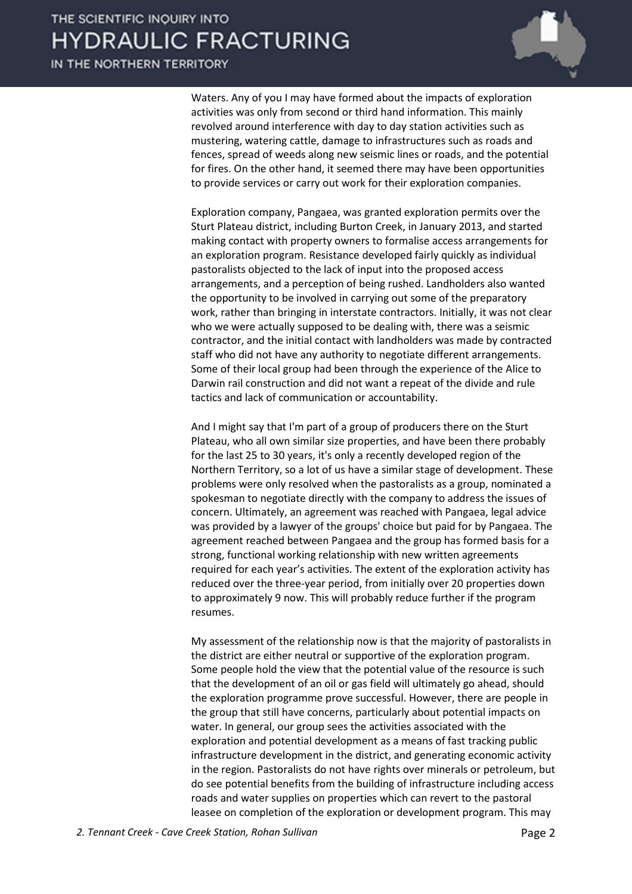IN THE NORTHERN TERRITORY



Waters. Any of you I may have formed about the impacts of exploration activities was only from second or third hand information. This mainly revolved around interference with day to day station activities such as mustering, watering cattle, damage to infrastructures such as roads and fences, spread of weeds along new seismic lines or roads, and the potential for fires. On the other hand, it seemed there may have been opportunities to provide services or carry out work for their exploration companies.

Exploration company, Pangaea, was granted exploration permits over the Sturt Plateau district, including Burton Creek, in January 2013, and started making contact with property owners to formalise access arrangements for an exploration program. Resistance developed fairly quickly as individual pastoralists objected to the lack of input into the proposed access arrangements, and a perception of being rushed. Landholders also wanted the opportunity to be involved in carrying out some of the preparatory work, rather than bringing in interstate contractors. Initially, it was not clear who we were actually supposed to be dealing with, there was a seismic contractor, and the initial contact with landholders was made by contracted staff who did not have any authority to negotiate different arrangements. Some of their local group had been through the experience of the Alice to Darwin rail construction and did not want a repeat of the divide and rule tactics and lack of communication or accountability.

And I might say that I'm part of a group of producers there on the Sturt Plateau, who all own similar size properties, and have been there probably for the last 25 to 30 years, it's only a recently developed region of the Northern Territory, so a lot of us have a similar stage of development. These problems were only resolved when the pastoralists as a group, nominated a spokesman to negotiate directly with the company to address the issues of concern. Ultimately, an agreement was reached with Pangaea, legal advice was provided by a lawyer of the groups' choice but paid for by Pangaea. The agreement reached between Pangaea and the group has formed basis for a strong, functional working relationship with new written agreements required for each year's activities. The extent of the exploration activity has reduced over the three-year period, from initially over 20 properties down to approximately 9 now. This will probably reduce further if the program resumes.

My assessment of the relationship now is that the majority of pastoralists in the district are either neutral or supportive of the exploration program. Some people hold the view that the potential value of the resource is such that the development of an oil or gas field will ultimately go ahead, should the exploration programme prove successful. However, there are people in the group that still have concerns, particularly about potential impacts on water. In general, our group sees the activities associated with the exploration and potential development as a means of fast tracking public infrastructure development in the district, and generating economic activity in the region. Pastoralists do not have rights over minerals or petroleum, but do see potential benefits from the building of infrastructure including access roads and water supplies on properties which can revert to the pastoral leasee on completion of the exploration or development program. This may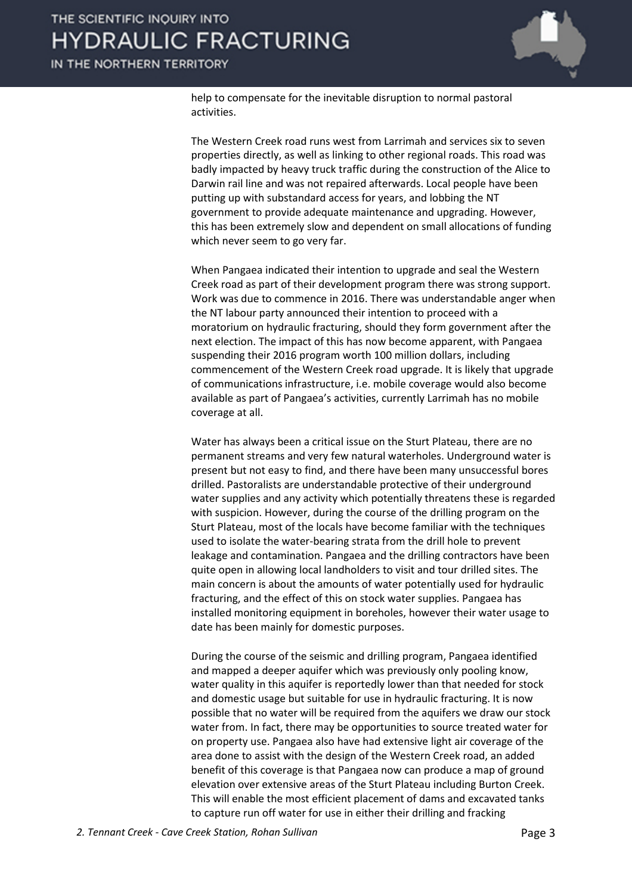

help to compensate for the inevitable disruption to normal pastoral activities.

The Western Creek road runs west from Larrimah and services six to seven properties directly, as well as linking to other regional roads. This road was badly impacted by heavy truck traffic during the construction of the Alice to Darwin rail line and was not repaired afterwards. Local people have been putting up with substandard access for years, and lobbing the NT government to provide adequate maintenance and upgrading. However, this has been extremely slow and dependent on small allocations of funding which never seem to go very far.

When Pangaea indicated their intention to upgrade and seal the Western Creek road as part of their development program there was strong support. Work was due to commence in 2016. There was understandable anger when the NT labour party announced their intention to proceed with a moratorium on hydraulic fracturing, should they form government after the next election. The impact of this has now become apparent, with Pangaea suspending their 2016 program worth 100 million dollars, including commencement of the Western Creek road upgrade. It is likely that upgrade of communications infrastructure, i.e. mobile coverage would also become available as part of Pangaea's activities, currently Larrimah has no mobile coverage at all.

Water has always been a critical issue on the Sturt Plateau, there are no permanent streams and very few natural waterholes. Underground water is present but not easy to find, and there have been many unsuccessful bores drilled. Pastoralists are understandable protective of their underground water supplies and any activity which potentially threatens these is regarded with suspicion. However, during the course of the drilling program on the Sturt Plateau, most of the locals have become familiar with the techniques used to isolate the water-bearing strata from the drill hole to prevent leakage and contamination. Pangaea and the drilling contractors have been quite open in allowing local landholders to visit and tour drilled sites. The main concern is about the amounts of water potentially used for hydraulic fracturing, and the effect of this on stock water supplies. Pangaea has installed monitoring equipment in boreholes, however their water usage to date has been mainly for domestic purposes.

During the course of the seismic and drilling program, Pangaea identified and mapped a deeper aquifer which was previously only pooling know, water quality in this aquifer is reportedly lower than that needed for stock and domestic usage but suitable for use in hydraulic fracturing. It is now possible that no water will be required from the aquifers we draw our stock water from. In fact, there may be opportunities to source treated water for on property use. Pangaea also have had extensive light air coverage of the area done to assist with the design of the Western Creek road, an added benefit of this coverage is that Pangaea now can produce a map of ground elevation over extensive areas of the Sturt Plateau including Burton Creek. This will enable the most efficient placement of dams and excavated tanks to capture run off water for use in either their drilling and fracking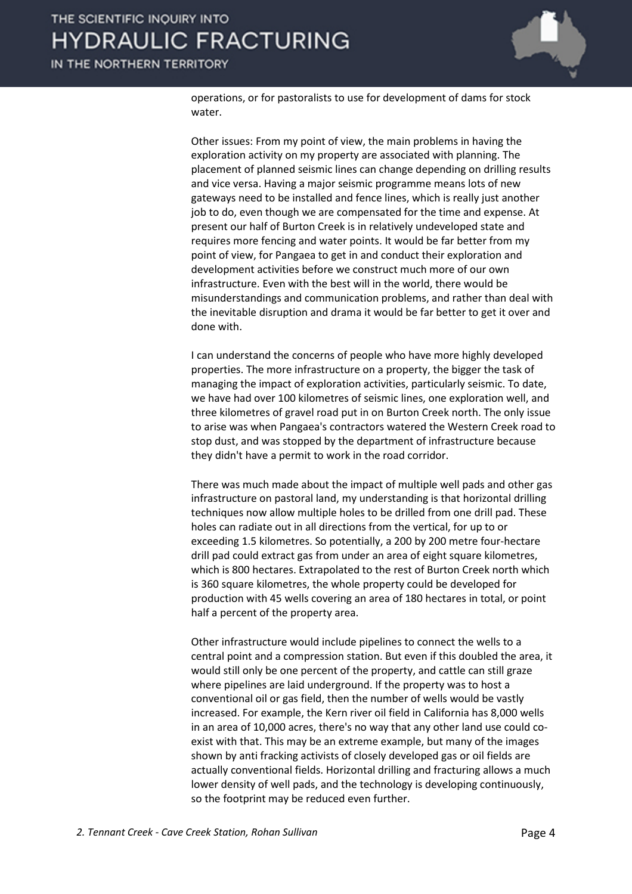

operations, or for pastoralists to use for development of dams for stock water.

Other issues: From my point of view, the main problems in having the exploration activity on my property are associated with planning. The placement of planned seismic lines can change depending on drilling results and vice versa. Having a major seismic programme means lots of new gateways need to be installed and fence lines, which is really just another job to do, even though we are compensated for the time and expense. At present our half of Burton Creek is in relatively undeveloped state and requires more fencing and water points. It would be far better from my point of view, for Pangaea to get in and conduct their exploration and development activities before we construct much more of our own infrastructure. Even with the best will in the world, there would be misunderstandings and communication problems, and rather than deal with the inevitable disruption and drama it would be far better to get it over and done with.

I can understand the concerns of people who have more highly developed properties. The more infrastructure on a property, the bigger the task of managing the impact of exploration activities, particularly seismic. To date, we have had over 100 kilometres of seismic lines, one exploration well, and three kilometres of gravel road put in on Burton Creek north. The only issue to arise was when Pangaea's contractors watered the Western Creek road to stop dust, and was stopped by the department of infrastructure because they didn't have a permit to work in the road corridor.

There was much made about the impact of multiple well pads and other gas infrastructure on pastoral land, my understanding is that horizontal drilling techniques now allow multiple holes to be drilled from one drill pad. These holes can radiate out in all directions from the vertical, for up to or exceeding 1.5 kilometres. So potentially, a 200 by 200 metre four-hectare drill pad could extract gas from under an area of eight square kilometres, which is 800 hectares. Extrapolated to the rest of Burton Creek north which is 360 square kilometres, the whole property could be developed for production with 45 wells covering an area of 180 hectares in total, or point half a percent of the property area.

Other infrastructure would include pipelines to connect the wells to a central point and a compression station. But even if this doubled the area, it would still only be one percent of the property, and cattle can still graze where pipelines are laid underground. If the property was to host a conventional oil or gas field, then the number of wells would be vastly increased. For example, the Kern river oil field in California has 8,000 wells in an area of 10,000 acres, there's no way that any other land use could coexist with that. This may be an extreme example, but many of the images shown by anti fracking activists of closely developed gas or oil fields are actually conventional fields. Horizontal drilling and fracturing allows a much lower density of well pads, and the technology is developing continuously, so the footprint may be reduced even further.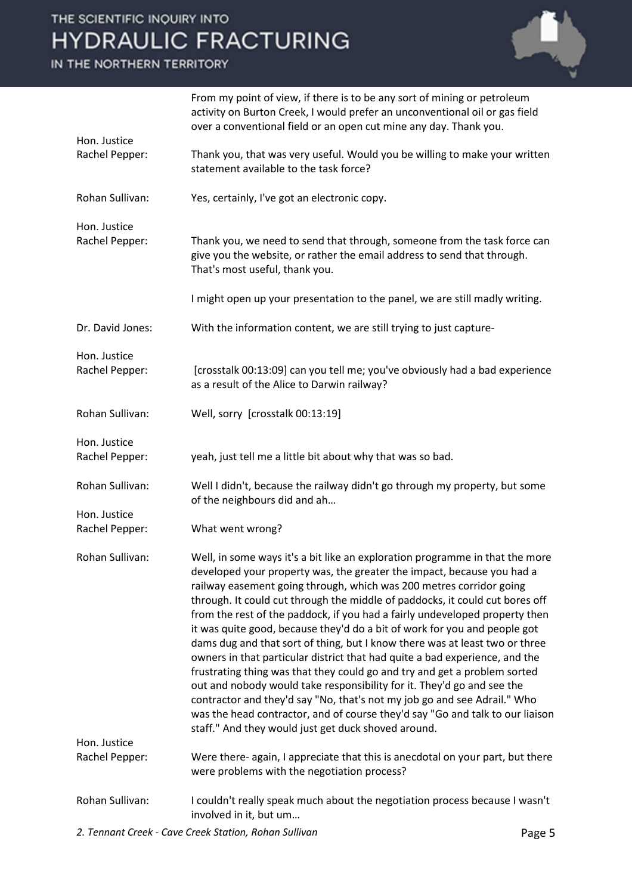### IN THE NORTHERN TERRITORY



|                                | From my point of view, if there is to be any sort of mining or petroleum<br>activity on Burton Creek, I would prefer an unconventional oil or gas field<br>over a conventional field or an open cut mine any day. Thank you.                                                                                                                                                                                                                                                                                                                                                                                                                                                                                                                                                                                                                                                                                                                                                                                       |
|--------------------------------|--------------------------------------------------------------------------------------------------------------------------------------------------------------------------------------------------------------------------------------------------------------------------------------------------------------------------------------------------------------------------------------------------------------------------------------------------------------------------------------------------------------------------------------------------------------------------------------------------------------------------------------------------------------------------------------------------------------------------------------------------------------------------------------------------------------------------------------------------------------------------------------------------------------------------------------------------------------------------------------------------------------------|
| Hon. Justice<br>Rachel Pepper: | Thank you, that was very useful. Would you be willing to make your written<br>statement available to the task force?                                                                                                                                                                                                                                                                                                                                                                                                                                                                                                                                                                                                                                                                                                                                                                                                                                                                                               |
| Rohan Sullivan:                | Yes, certainly, I've got an electronic copy.                                                                                                                                                                                                                                                                                                                                                                                                                                                                                                                                                                                                                                                                                                                                                                                                                                                                                                                                                                       |
| Hon. Justice<br>Rachel Pepper: | Thank you, we need to send that through, someone from the task force can<br>give you the website, or rather the email address to send that through.<br>That's most useful, thank you.                                                                                                                                                                                                                                                                                                                                                                                                                                                                                                                                                                                                                                                                                                                                                                                                                              |
|                                | I might open up your presentation to the panel, we are still madly writing.                                                                                                                                                                                                                                                                                                                                                                                                                                                                                                                                                                                                                                                                                                                                                                                                                                                                                                                                        |
| Dr. David Jones:               | With the information content, we are still trying to just capture-                                                                                                                                                                                                                                                                                                                                                                                                                                                                                                                                                                                                                                                                                                                                                                                                                                                                                                                                                 |
| Hon. Justice<br>Rachel Pepper: | [crosstalk 00:13:09] can you tell me; you've obviously had a bad experience<br>as a result of the Alice to Darwin railway?                                                                                                                                                                                                                                                                                                                                                                                                                                                                                                                                                                                                                                                                                                                                                                                                                                                                                         |
| Rohan Sullivan:                | Well, sorry [crosstalk 00:13:19]                                                                                                                                                                                                                                                                                                                                                                                                                                                                                                                                                                                                                                                                                                                                                                                                                                                                                                                                                                                   |
| Hon. Justice<br>Rachel Pepper: | yeah, just tell me a little bit about why that was so bad.                                                                                                                                                                                                                                                                                                                                                                                                                                                                                                                                                                                                                                                                                                                                                                                                                                                                                                                                                         |
| Rohan Sullivan:                | Well I didn't, because the railway didn't go through my property, but some<br>of the neighbours did and ah                                                                                                                                                                                                                                                                                                                                                                                                                                                                                                                                                                                                                                                                                                                                                                                                                                                                                                         |
| Hon. Justice                   |                                                                                                                                                                                                                                                                                                                                                                                                                                                                                                                                                                                                                                                                                                                                                                                                                                                                                                                                                                                                                    |
| Rachel Pepper:                 | What went wrong?                                                                                                                                                                                                                                                                                                                                                                                                                                                                                                                                                                                                                                                                                                                                                                                                                                                                                                                                                                                                   |
| Rohan Sullivan:                | Well, in some ways it's a bit like an exploration programme in that the more<br>developed your property was, the greater the impact, because you had a<br>railway easement going through, which was 200 metres corridor going<br>through. It could cut through the middle of paddocks, it could cut bores off<br>from the rest of the paddock, if you had a fairly undeveloped property then<br>it was quite good, because they'd do a bit of work for you and people got<br>dams dug and that sort of thing, but I know there was at least two or three<br>owners in that particular district that had quite a bad experience, and the<br>frustrating thing was that they could go and try and get a problem sorted<br>out and nobody would take responsibility for it. They'd go and see the<br>contractor and they'd say "No, that's not my job go and see Adrail." Who<br>was the head contractor, and of course they'd say "Go and talk to our liaison<br>staff." And they would just get duck shoved around. |
| Hon. Justice<br>Rachel Pepper: | Were there- again, I appreciate that this is anecdotal on your part, but there<br>were problems with the negotiation process?                                                                                                                                                                                                                                                                                                                                                                                                                                                                                                                                                                                                                                                                                                                                                                                                                                                                                      |
| Rohan Sullivan:                | I couldn't really speak much about the negotiation process because I wasn't<br>involved in it, but um                                                                                                                                                                                                                                                                                                                                                                                                                                                                                                                                                                                                                                                                                                                                                                                                                                                                                                              |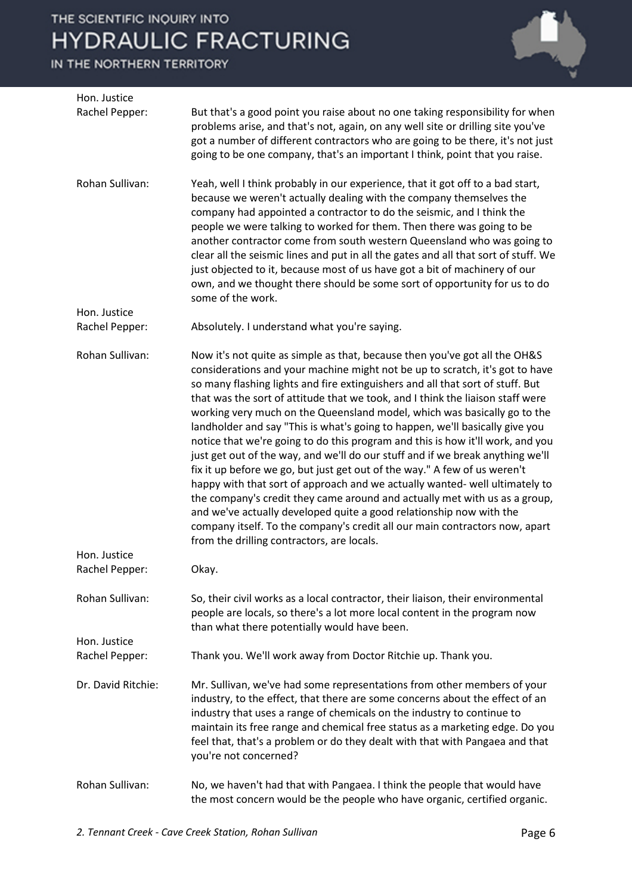IN THE NORTHERN TERRITORY

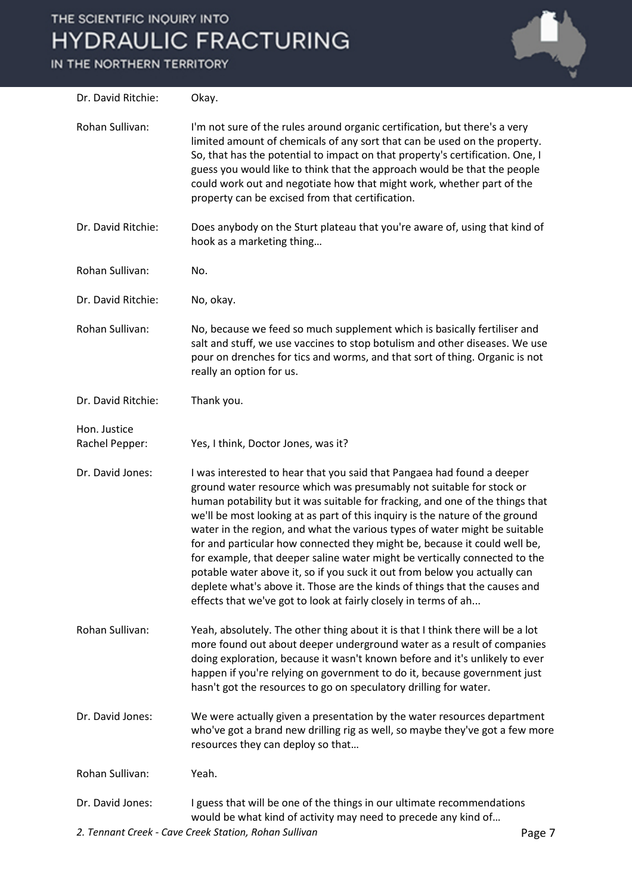IN THE NORTHERN TERRITORY



| Dr. David Ritchie:             | Okay.                                                                                                                                                                                                                                                                                                                                                                                                                                                                                                                                                                                                                                                                                                                                                                                  |
|--------------------------------|----------------------------------------------------------------------------------------------------------------------------------------------------------------------------------------------------------------------------------------------------------------------------------------------------------------------------------------------------------------------------------------------------------------------------------------------------------------------------------------------------------------------------------------------------------------------------------------------------------------------------------------------------------------------------------------------------------------------------------------------------------------------------------------|
| Rohan Sullivan:                | I'm not sure of the rules around organic certification, but there's a very<br>limited amount of chemicals of any sort that can be used on the property.<br>So, that has the potential to impact on that property's certification. One, I<br>guess you would like to think that the approach would be that the people<br>could work out and negotiate how that might work, whether part of the<br>property can be excised from that certification.                                                                                                                                                                                                                                                                                                                                      |
| Dr. David Ritchie:             | Does anybody on the Sturt plateau that you're aware of, using that kind of<br>hook as a marketing thing                                                                                                                                                                                                                                                                                                                                                                                                                                                                                                                                                                                                                                                                                |
| Rohan Sullivan:                | No.                                                                                                                                                                                                                                                                                                                                                                                                                                                                                                                                                                                                                                                                                                                                                                                    |
| Dr. David Ritchie:             | No, okay.                                                                                                                                                                                                                                                                                                                                                                                                                                                                                                                                                                                                                                                                                                                                                                              |
| Rohan Sullivan:                | No, because we feed so much supplement which is basically fertiliser and<br>salt and stuff, we use vaccines to stop botulism and other diseases. We use<br>pour on drenches for tics and worms, and that sort of thing. Organic is not<br>really an option for us.                                                                                                                                                                                                                                                                                                                                                                                                                                                                                                                     |
| Dr. David Ritchie:             | Thank you.                                                                                                                                                                                                                                                                                                                                                                                                                                                                                                                                                                                                                                                                                                                                                                             |
| Hon. Justice<br>Rachel Pepper: | Yes, I think, Doctor Jones, was it?                                                                                                                                                                                                                                                                                                                                                                                                                                                                                                                                                                                                                                                                                                                                                    |
| Dr. David Jones:               | I was interested to hear that you said that Pangaea had found a deeper<br>ground water resource which was presumably not suitable for stock or<br>human potability but it was suitable for fracking, and one of the things that<br>we'll be most looking at as part of this inquiry is the nature of the ground<br>water in the region, and what the various types of water might be suitable<br>for and particular how connected they might be, because it could well be,<br>for example, that deeper saline water might be vertically connected to the<br>potable water above it, so if you suck it out from below you actually can<br>deplete what's above it. Those are the kinds of things that the causes and<br>effects that we've got to look at fairly closely in terms of ah |
| Rohan Sullivan:                | Yeah, absolutely. The other thing about it is that I think there will be a lot<br>more found out about deeper underground water as a result of companies<br>doing exploration, because it wasn't known before and it's unlikely to ever<br>happen if you're relying on government to do it, because government just<br>hasn't got the resources to go on speculatory drilling for water.                                                                                                                                                                                                                                                                                                                                                                                               |
| Dr. David Jones:               | We were actually given a presentation by the water resources department<br>who've got a brand new drilling rig as well, so maybe they've got a few more<br>resources they can deploy so that                                                                                                                                                                                                                                                                                                                                                                                                                                                                                                                                                                                           |
| Rohan Sullivan:                | Yeah.                                                                                                                                                                                                                                                                                                                                                                                                                                                                                                                                                                                                                                                                                                                                                                                  |
| Dr. David Jones:               | I guess that will be one of the things in our ultimate recommendations<br>would be what kind of activity may need to precede any kind of                                                                                                                                                                                                                                                                                                                                                                                                                                                                                                                                                                                                                                               |

2. Tennant Creek - Cave Creek Station, Rohan Sullivan **Page 7** Page 7